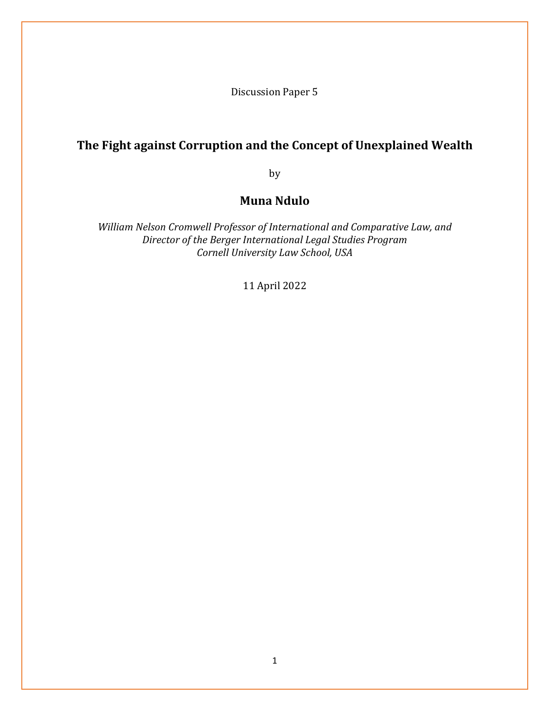Discussion Paper 5

# **The Fight against Corruption and the Concept of Unexplained Wealth**

by

# **Muna Ndulo**

*William Nelson Cromwell Professor of International and Comparative Law, and Director of the Berger International Legal Studies Program Cornell University Law School, USA*

11 April 2022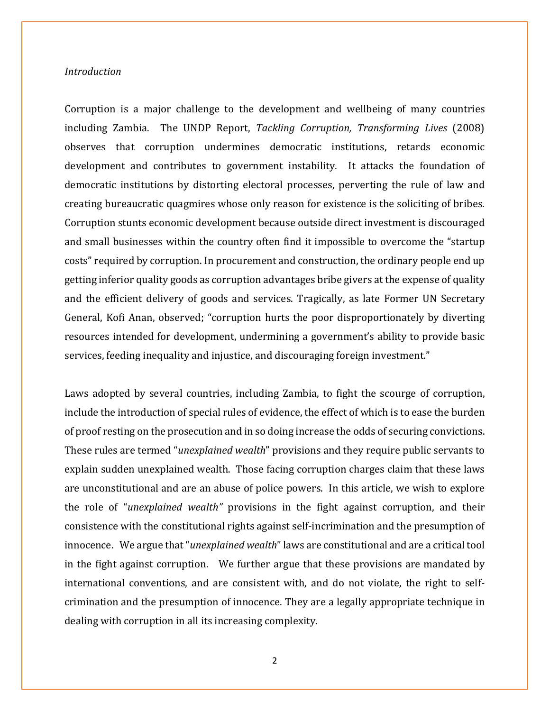## *Introduction*

Corruption is a major challenge to the development and wellbeing of many countries including Zambia. The UNDP Report, *Tackling Corruption, Transforming Lives* (2008) observes that corruption undermines democratic institutions, retards economic development and contributes to government instability. It attacks the foundation of democratic institutions by distorting electoral processes, perverting the rule of law and creating bureaucratic quagmires whose only reason for existence is the soliciting of bribes. Corruption stunts economic development because outside direct investment is discouraged and small businesses within the country often find it impossible to overcome the "startup costs" required by corruption. In procurement and construction, the ordinary people end up getting inferior quality goods as corruption advantages bribe givers at the expense of quality and the efficient delivery of goods and services. Tragically, as late Former UN Secretary General, Kofi Anan, observed; "corruption hurts the poor disproportionately by diverting resources intended for development, undermining a government's ability to provide basic services, feeding inequality and injustice, and discouraging foreign investment."

Laws adopted by several countries, including Zambia, to fight the scourge of corruption, include the introduction of special rules of evidence, the effect of which is to ease the burden of proof resting on the prosecution and in so doing increase the odds of securing convictions. These rules are termed "*unexplained wealth*" provisions and they require public servants to explain sudden unexplained wealth. Those facing corruption charges claim that these laws are unconstitutional and are an abuse of police powers. In this article, we wish to explore the role of "*unexplained wealth"* provisions in the fight against corruption, and their consistence with the constitutional rights against self-incrimination and the presumption of innocence. We argue that "*unexplained wealth*" laws are constitutional and are a critical tool in the fight against corruption. We further argue that these provisions are mandated by international conventions, and are consistent with, and do not violate, the right to selfcrimination and the presumption of innocence. They are a legally appropriate technique in dealing with corruption in all its increasing complexity.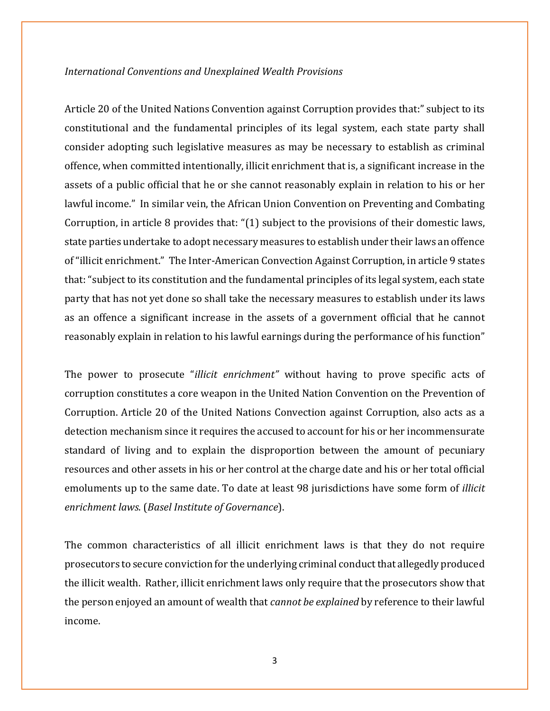### *International Conventions and Unexplained Wealth Provisions*

Article 20 of the United Nations Convention against Corruption provides that:" subject to its constitutional and the fundamental principles of its legal system, each state party shall consider adopting such legislative measures as may be necessary to establish as criminal offence, when committed intentionally, illicit enrichment that is, a significant increase in the assets of a public official that he or she cannot reasonably explain in relation to his or her lawful income." In similar vein, the African Union Convention on Preventing and Combating Corruption, in article 8 provides that: "(1) subject to the provisions of their domestic laws, state parties undertake to adopt necessary measures to establish under their laws an offence of "illicit enrichment." The Inter-American Convection Against Corruption, in article 9 states that: "subject to its constitution and the fundamental principles of its legal system, each state party that has not yet done so shall take the necessary measures to establish under its laws as an offence a significant increase in the assets of a government official that he cannot reasonably explain in relation to his lawful earnings during the performance of his function"

The power to prosecute "*illicit enrichment"* without having to prove specific acts of corruption constitutes a core weapon in the United Nation Convention on the Prevention of Corruption. Article 20 of the United Nations Convection against Corruption, also acts as a detection mechanism since it requires the accused to account for his or her incommensurate standard of living and to explain the disproportion between the amount of pecuniary resources and other assets in his or her control at the charge date and his or her total official emoluments up to the same date. To date at least 98 jurisdictions have some form of *illicit enrichment laws*. (*Basel Institute of Governance*).

The common characteristics of all illicit enrichment laws is that they do not require prosecutors to secure conviction for the underlying criminal conduct that allegedly produced the illicit wealth. Rather, illicit enrichment laws only require that the prosecutors show that the person enjoyed an amount of wealth that *cannot be explained* by reference to their lawful income.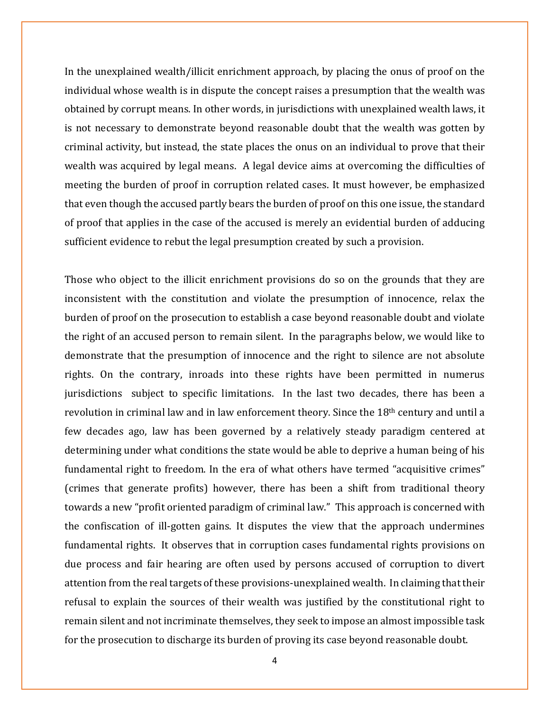In the unexplained wealth/illicit enrichment approach, by placing the onus of proof on the individual whose wealth is in dispute the concept raises a presumption that the wealth was obtained by corrupt means. In other words, in jurisdictions with unexplained wealth laws, it is not necessary to demonstrate beyond reasonable doubt that the wealth was gotten by criminal activity, but instead, the state places the onus on an individual to prove that their wealth was acquired by legal means. A legal device aims at overcoming the difficulties of meeting the burden of proof in corruption related cases. It must however, be emphasized that even though the accused partly bears the burden of proof on this one issue, the standard of proof that applies in the case of the accused is merely an evidential burden of adducing sufficient evidence to rebut the legal presumption created by such a provision.

Those who object to the illicit enrichment provisions do so on the grounds that they are inconsistent with the constitution and violate the presumption of innocence, relax the burden of proof on the prosecution to establish a case beyond reasonable doubt and violate the right of an accused person to remain silent. In the paragraphs below, we would like to demonstrate that the presumption of innocence and the right to silence are not absolute rights. On the contrary, inroads into these rights have been permitted in numerus jurisdictions subject to specific limitations. In the last two decades, there has been a revolution in criminal law and in law enforcement theory. Since the 18th century and until a few decades ago, law has been governed by a relatively steady paradigm centered at determining under what conditions the state would be able to deprive a human being of his fundamental right to freedom. In the era of what others have termed "acquisitive crimes" (crimes that generate profits) however, there has been a shift from traditional theory towards a new "profit oriented paradigm of criminal law." This approach is concerned with the confiscation of ill-gotten gains. It disputes the view that the approach undermines fundamental rights. It observes that in corruption cases fundamental rights provisions on due process and fair hearing are often used by persons accused of corruption to divert attention from the real targets of these provisions-unexplained wealth. In claiming that their refusal to explain the sources of their wealth was justified by the constitutional right to remain silent and not incriminate themselves, they seek to impose an almost impossible task for the prosecution to discharge its burden of proving its case beyond reasonable doubt.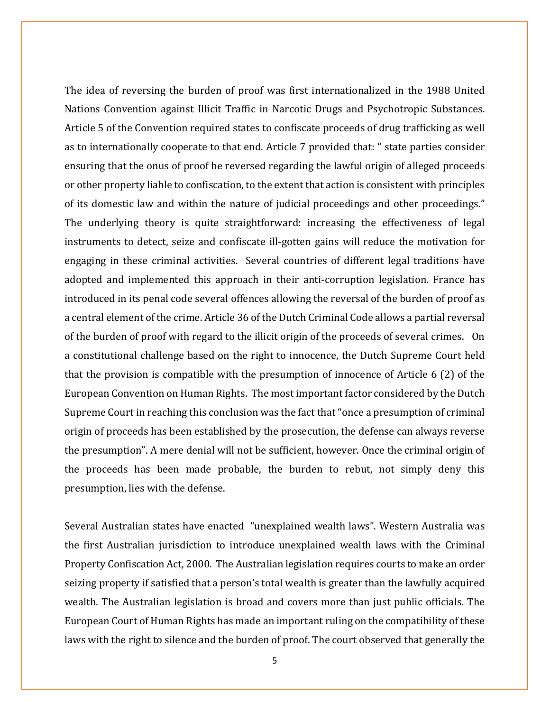The idea of reversing the burden of proof was first internationalized in the 1988 United Nations Convention against Illicit Traffic in Narcotic Drugs and Psychotropic Substances. Article 5 of the Convention required states to confiscate proceeds of drug trafficking as well as to internationally cooperate to that end. Article 7 provided that: " state parties consider ensuring that the onus of proof be reversed regarding the lawful origin of alleged proceeds or other property liable to confiscation, to the extent that action is consistent with principles of its domestic law and within the nature of judicial proceedings and other proceedings." The underlying theory is quite straightforward: increasing the effectiveness of legal instruments to detect, seize and confiscate ill-gotten gains will reduce the motivation for engaging in these criminal activities. Several countries of different legal traditions have adopted and implemented this approach in their anti-corruption legislation. France has introduced in its penal code several offences allowing the reversal of the burden of proof as a central element of the crime. Article 36 of the Dutch Criminal Code allows a partial reversal of the burden of proof with regard to the illicit origin of the proceeds of several crimes. On a constitutional challenge based on the right to innocence, the Dutch Supreme Court held that the provision is compatible with the presumption of innocence of Article 6 (2) of the European Convention on Human Rights. The most important factor considered by the Dutch Supreme Court in reaching this conclusion was the fact that "once a presumption of criminal origin of proceeds has been established by the prosecution, the defense can always reverse the presumption". A mere denial will not be sufficient, however. Once the criminal origin of the proceeds has been made probable, the burden to rebut, not simply deny this presumption, lies with the defense.

Several Australian states have enacted "unexplained wealth laws". Western Australia was the first Australian jurisdiction to introduce unexplained wealth laws with the Criminal Property Confiscation Act, 2000. The Australian legislation requires courts to make an order seizing property if satisfied that a person's total wealth is greater than the lawfully acquired wealth. The Australian legislation is broad and covers more than just public officials. The European Court of Human Rights has made an important ruling on the compatibility of these laws with the right to silence and the burden of proof. The court observed that generally the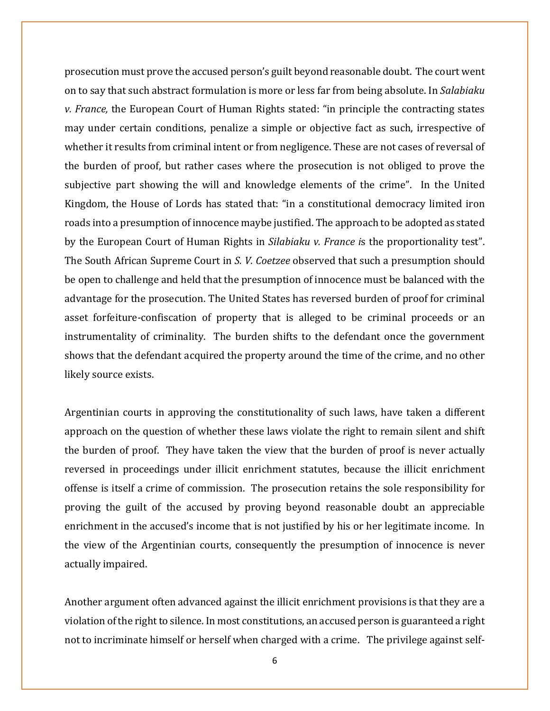prosecution must prove the accused person's guilt beyond reasonable doubt. The court went on to say that such abstract formulation is more or less far from being absolute. In *Salabiaku v. France,* the European Court of Human Rights stated: "in principle the contracting states may under certain conditions, penalize a simple or objective fact as such, irrespective of whether it results from criminal intent or from negligence. These are not cases of reversal of the burden of proof, but rather cases where the prosecution is not obliged to prove the subjective part showing the will and knowledge elements of the crime". In the United Kingdom, the House of Lords has stated that: "in a constitutional democracy limited iron roads into a presumption of innocence maybe justified. The approach to be adopted as stated by the European Court of Human Rights in *Silabiaku v. France i*s the proportionality test". The South African Supreme Court in *S. V. Coetzee* observed that such a presumption should be open to challenge and held that the presumption of innocence must be balanced with the advantage for the prosecution. The United States has reversed burden of proof for criminal asset forfeiture-confiscation of property that is alleged to be criminal proceeds or an instrumentality of criminality. The burden shifts to the defendant once the government shows that the defendant acquired the property around the time of the crime, and no other likely source exists.

Argentinian courts in approving the constitutionality of such laws, have taken a different approach on the question of whether these laws violate the right to remain silent and shift the burden of proof. They have taken the view that the burden of proof is never actually reversed in proceedings under illicit enrichment statutes, because the illicit enrichment offense is itself a crime of commission. The prosecution retains the sole responsibility for proving the guilt of the accused by proving beyond reasonable doubt an appreciable enrichment in the accused's income that is not justified by his or her legitimate income. In the view of the Argentinian courts, consequently the presumption of innocence is never actually impaired.

Another argument often advanced against the illicit enrichment provisions is that they are a violation of the right to silence. In most constitutions, an accused person is guaranteed a right not to incriminate himself or herself when charged with a crime. The privilege against self